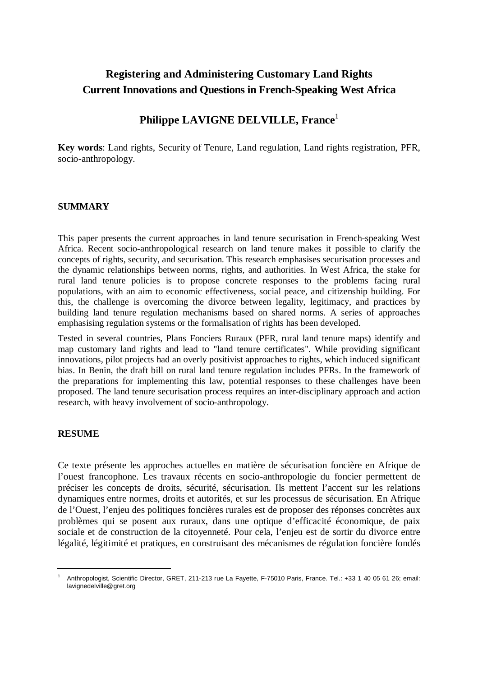# **Registering and Administering Customary Land Rights Current Innovations and Questions in French-Speaking West Africa**

# **Philippe LAVIGNE DELVILLE, France**<sup>1</sup>

**Key words**: Land rights, Security of Tenure, Land regulation, Land rights registration, PFR, socio-anthropology.

# **SUMMARY**

This paper presents the current approaches in land tenure securisation in French-speaking West Africa. Recent socio-anthropological research on land tenure makes it possible to clarify the concepts of rights, security, and securisation. This research emphasises securisation processes and the dynamic relationships between norms, rights, and authorities. In West Africa, the stake for rural land tenure policies is to propose concrete responses to the problems facing rural populations, with an aim to economic effectiveness, social peace, and citizenship building. For this, the challenge is overcoming the divorce between legality, legitimacy, and practices by building land tenure regulation mechanisms based on shared norms. A series of approaches emphasising regulation systems or the formalisation of rights has been developed.

Tested in several countries, Plans Fonciers Ruraux (PFR, rural land tenure maps) identify and map customary land rights and lead to "land tenure certificates". While providing significant innovations, pilot projects had an overly positivist approaches to rights, which induced significant bias. In Benin, the draft bill on rural land tenure regulation includes PFRs. In the framework of the preparations for implementing this law, potential responses to these challenges have been proposed. The land tenure securisation process requires an inter-disciplinary approach and action research, with heavy involvement of socio-anthropology.

### **RESUME**

Ce texte présente les approches actuelles en matière de sécurisation foncière en Afrique de l'ouest francophone. Les travaux récents en socio-anthropologie du foncier permettent de préciser les concepts de droits, sécurité, sécurisation. Ils mettent l'accent sur les relations dynamiques entre normes, droits et autorités, et sur les processus de sécurisation. En Afrique de l'Ouest, l'enjeu des politiques foncières rurales est de proposer des réponses concrètes aux problèmes qui se posent aux ruraux, dans une optique d'efficacité économique, de paix sociale et de construction de la citoyenneté. Pour cela, l'enjeu est de sortir du divorce entre légalité, légitimité et pratiques, en construisant des mécanismes de régulation foncière fondés

<sup>1</sup> Anthropologist, Scientific Director, GRET, 211-213 rue La Fayette, F-75010 Paris, France. Tel.: +33 1 40 05 61 26; email: lavignedelville@gret.org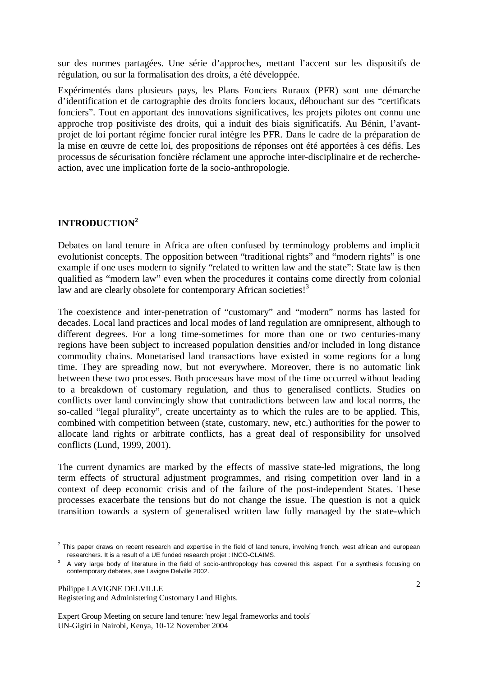sur des normes partagées. Une série d'approches, mettant l'accent sur les dispositifs de régulation, ou sur la formalisation des droits, a été développée.

Expérimentés dans plusieurs pays, les Plans Fonciers Ruraux (PFR) sont une démarche d'identification et de cartographie des droits fonciers locaux, débouchant sur des "certificats fonciers". Tout en apportant des innovations significatives, les projets pilotes ont connu une approche trop positiviste des droits, qui a induit des biais significatifs. Au Bénin, l'avantprojet de loi portant régime foncier rural intègre les PFR. Dans le cadre de la préparation de la mise en œuvre de cette loi, des propositions de réponses ont été apportées à ces défis. Les processus de sécurisation foncière réclament une approche inter-disciplinaire et de rechercheaction, avec une implication forte de la socio-anthropologie.

# **INTRODUCTION<sup>2</sup>**

Debates on land tenure in Africa are often confused by terminology problems and implicit evolutionist concepts. The opposition between "traditional rights" and "modern rights" is one example if one uses modern to signify "related to written law and the state": State law is then qualified as "modern law" even when the procedures it contains come directly from colonial law and are clearly obsolete for contemporary African societies!<sup>3</sup>

The coexistence and inter-penetration of "customary" and "modern" norms has lasted for decades. Local land practices and local modes of land regulation are omnipresent, although to different degrees. For a long time-sometimes for more than one or two centuries-many regions have been subject to increased population densities and/or included in long distance commodity chains. Monetarised land transactions have existed in some regions for a long time. They are spreading now, but not everywhere. Moreover, there is no automatic link between these two processes. Both processus have most of the time occurred without leading to a breakdown of customary regulation, and thus to generalised conflicts. Studies on conflicts over land convincingly show that contradictions between law and local norms, the so-called "legal plurality", create uncertainty as to which the rules are to be applied. This, combined with competition between (state, customary, new, etc.) authorities for the power to allocate land rights or arbitrate conflicts, has a great deal of responsibility for unsolved conflicts (Lund, 1999, 2001).

The current dynamics are marked by the effects of massive state-led migrations, the long term effects of structural adjustment programmes, and rising competition over land in a context of deep economic crisis and of the failure of the post-independent States. These processes exacerbate the tensions but do not change the issue. The question is not a quick transition towards a system of generalised written law fully managed by the state-which

Philippe LAVIGNE DELVILLE

Registering and Administering Customary Land Rights.

 $2$  This paper draws on recent research and expertise in the field of land tenure, involving french, west african and european researchers. It is a result of a UE funded research projet : INCO-CLAIMS.

 $3$  A very large body of literature in the field of socio-anthropology has covered this aspect. For a synthesis focusing on contemporary debates, see Lavigne Delville 2002.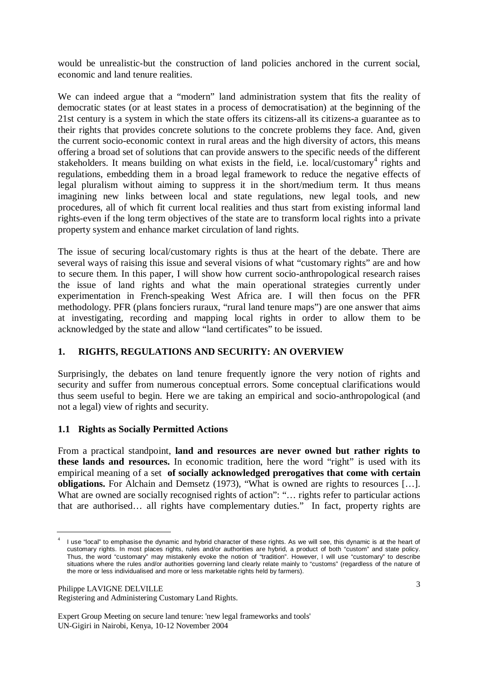would be unrealistic-but the construction of land policies anchored in the current social, economic and land tenure realities.

We can indeed argue that a "modern" land administration system that fits the reality of democratic states (or at least states in a process of democratisation) at the beginning of the 21st century is a system in which the state offers its citizens-all its citizens-a guarantee as to their rights that provides concrete solutions to the concrete problems they face. And, given the current socio-economic context in rural areas and the high diversity of actors, this means offering a broad set of solutions that can provide answers to the specific needs of the different stakeholders. It means building on what exists in the field, i.e. local/customary<sup>4</sup> rights and regulations, embedding them in a broad legal framework to reduce the negative effects of legal pluralism without aiming to suppress it in the short/medium term. It thus means imagining new links between local and state regulations, new legal tools, and new procedures, all of which fit current local realities and thus start from existing informal land rights-even if the long term objectives of the state are to transform local rights into a private property system and enhance market circulation of land rights.

The issue of securing local/customary rights is thus at the heart of the debate. There are several ways of raising this issue and several visions of what "customary rights" are and how to secure them. In this paper, I will show how current socio-anthropological research raises the issue of land rights and what the main operational strategies currently under experimentation in French-speaking West Africa are. I will then focus on the PFR methodology. PFR (plans fonciers ruraux, "rural land tenure maps") are one answer that aims at investigating, recording and mapping local rights in order to allow them to be acknowledged by the state and allow "land certificates" to be issued.

# **1. RIGHTS, REGULATIONS AND SECURITY: AN OVERVIEW**

Surprisingly, the debates on land tenure frequently ignore the very notion of rights and security and suffer from numerous conceptual errors. Some conceptual clarifications would thus seem useful to begin. Here we are taking an empirical and socio-anthropological (and not a legal) view of rights and security.

# **1.1 Rights as Socially Permitted Actions**

From a practical standpoint, **land and resources are never owned but rather rights to these lands and resources.** In economic tradition, here the word "right" is used with its empirical meaning of a set **of socially acknowledged prerogatives that come with certain obligations.** For Alchain and Demsetz (1973), "What is owned are rights to resources […]. What are owned are socially recognised rights of action": "... rights refer to particular actions that are authorised… all rights have complementary duties." In fact, property rights are

Philippe LAVIGNE DELVILLE Registering and Administering Customary Land Rights.

<sup>4</sup> I use "local" to emphasise the dynamic and hybrid character of these rights. As we will see, this dynamic is at the heart of customary rights. In most places rights, rules and/or authorities are hybrid, a product of both "custom" and state policy. Thus, the word "customary" may mistakenly evoke the notion of "tradition". However, I will use "customary" to describe situations where the rules and/or authorities governing land clearly relate mainly to "customs" (regardless of the nature of the more or less individualised and more or less marketable rights held by farmers).

Expert Group Meeting on secure land tenure: 'new legal frameworks and tools' UN-Gigiri in Nairobi, Kenya, 10-12 November 2004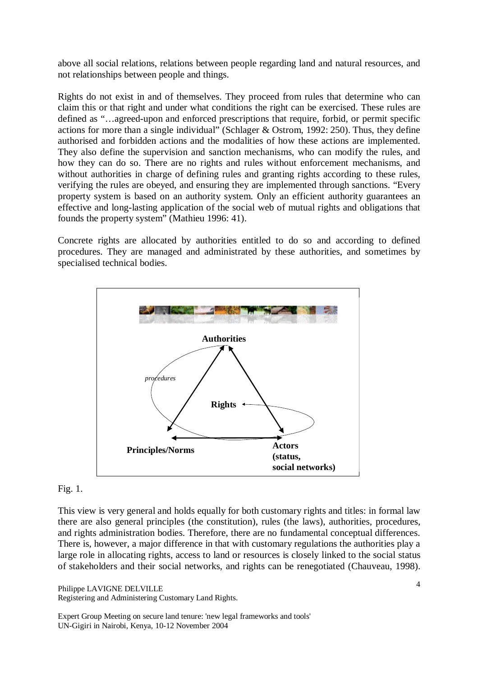above all social relations, relations between people regarding land and natural resources, and not relationships between people and things.

Rights do not exist in and of themselves. They proceed from rules that determine who can claim this or that right and under what conditions the right can be exercised. These rules are defined as "…agreed-upon and enforced prescriptions that require, forbid, or permit specific actions for more than a single individual" (Schlager & Ostrom, 1992: 250). Thus, they define authorised and forbidden actions and the modalities of how these actions are implemented. They also define the supervision and sanction mechanisms, who can modify the rules, and how they can do so. There are no rights and rules without enforcement mechanisms, and without authorities in charge of defining rules and granting rights according to these rules, verifying the rules are obeyed, and ensuring they are implemented through sanctions. "Every property system is based on an authority system. Only an efficient authority guarantees an effective and long-lasting application of the social web of mutual rights and obligations that founds the property system" (Mathieu 1996: 41).

Concrete rights are allocated by authorities entitled to do so and according to defined procedures. They are managed and administrated by these authorities, and sometimes by specialised technical bodies.



### Fig. 1.

This view is very general and holds equally for both customary rights and titles: in formal law there are also general principles (the constitution), rules (the laws), authorities, procedures, and rights administration bodies. Therefore, there are no fundamental conceptual differences. There is, however, a major difference in that with customary regulations the authorities play a large role in allocating rights, access to land or resources is closely linked to the social status of stakeholders and their social networks, and rights can be renegotiated (Chauveau, 1998).

Philippe LAVIGNE DELVILLE Registering and Administering Customary Land Rights.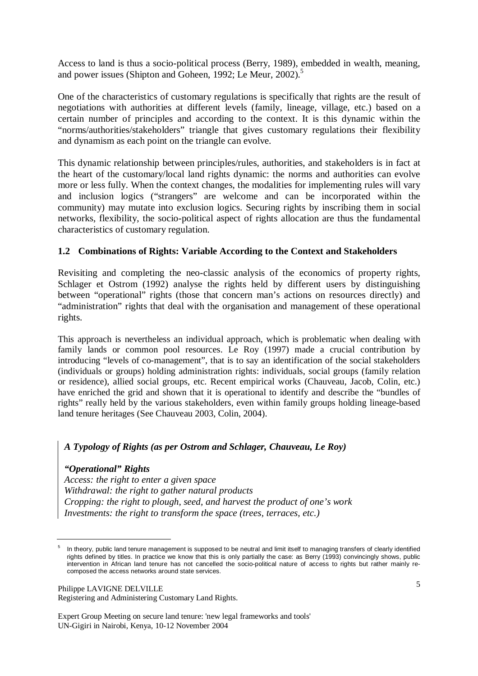Access to land is thus a socio-political process (Berry, 1989), embedded in wealth, meaning, and power issues (Shipton and Goheen, 1992; Le Meur, 2002).<sup>5</sup>

One of the characteristics of customary regulations is specifically that rights are the result of negotiations with authorities at different levels (family, lineage, village, etc.) based on a certain number of principles and according to the context. It is this dynamic within the "norms/authorities/stakeholders" triangle that gives customary regulations their flexibility and dynamism as each point on the triangle can evolve.

This dynamic relationship between principles/rules, authorities, and stakeholders is in fact at the heart of the customary/local land rights dynamic: the norms and authorities can evolve more or less fully. When the context changes, the modalities for implementing rules will vary and inclusion logics ("strangers" are welcome and can be incorporated within the community) may mutate into exclusion logics. Securing rights by inscribing them in social networks, flexibility, the socio-political aspect of rights allocation are thus the fundamental characteristics of customary regulation.

### **1.2 Combinations of Rights: Variable According to the Context and Stakeholders**

Revisiting and completing the neo-classic analysis of the economics of property rights, Schlager et Ostrom (1992) analyse the rights held by different users by distinguishing between "operational" rights (those that concern man's actions on resources directly) and "administration" rights that deal with the organisation and management of these operational rights.

This approach is nevertheless an individual approach, which is problematic when dealing with family lands or common pool resources. Le Roy (1997) made a crucial contribution by introducing "levels of co-management", that is to say an identification of the social stakeholders (individuals or groups) holding administration rights: individuals, social groups (family relation or residence), allied social groups, etc. Recent empirical works (Chauveau, Jacob, Colin, etc.) have enriched the grid and shown that it is operational to identify and describe the "bundles of rights" really held by the various stakeholders, even within family groups holding lineage-based land tenure heritages (See Chauveau 2003, Colin, 2004).

# *A Typology of Rights (as per Ostrom and Schlager, Chauveau, Le Roy)*

### *"Operational" Rights*

*Access: the right to enter a given space Withdrawal: the right to gather natural products Cropping: the right to plough, seed, and harvest the product of one's work Investments: the right to transform the space (trees, terraces, etc.)* 

Philippe LAVIGNE DELVILLE Registering and Administering Customary Land Rights.

<sup>5</sup> In theory, public land tenure management is supposed to be neutral and limit itself to managing transfers of clearly identified rights defined by titles. In practice we know that this is only partially the case: as Berry (1993) convincingly shows, public intervention in African land tenure has not cancelled the socio-political nature of access to rights but rather mainly recomposed the access networks around state services.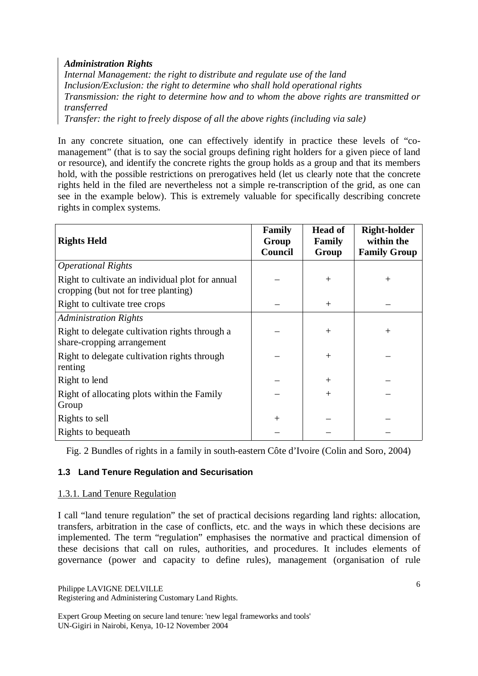### *Administration Rights*

*Internal Management: the right to distribute and regulate use of the land Inclusion/Exclusion: the right to determine who shall hold operational rights Transmission: the right to determine how and to whom the above rights are transmitted or transferred* 

*Transfer: the right to freely dispose of all the above rights (including via sale)* 

In any concrete situation, one can effectively identify in practice these levels of "comanagement" (that is to say the social groups defining right holders for a given piece of land or resource), and identify the concrete rights the group holds as a group and that its members hold, with the possible restrictions on prerogatives held (let us clearly note that the concrete rights held in the filed are nevertheless not a simple re-transcription of the grid, as one can see in the example below). This is extremely valuable for specifically describing concrete rights in complex systems.

| <b>Rights Held</b>                                                                       | Family<br>Group<br>Council | <b>Head of</b><br>Family<br>Group | <b>Right-holder</b><br>within the<br><b>Family Group</b> |
|------------------------------------------------------------------------------------------|----------------------------|-----------------------------------|----------------------------------------------------------|
| <b>Operational Rights</b>                                                                |                            |                                   |                                                          |
| Right to cultivate an individual plot for annual<br>cropping (but not for tree planting) |                            | $+$                               | $^{+}$                                                   |
| Right to cultivate tree crops                                                            |                            | $^{+}$                            |                                                          |
| <b>Administration Rights</b>                                                             |                            |                                   |                                                          |
| Right to delegate cultivation rights through a<br>share-cropping arrangement             |                            | $^{+}$                            | $^{+}$                                                   |
| Right to delegate cultivation rights through<br>renting                                  |                            | $^{+}$                            |                                                          |
| Right to lend                                                                            |                            | $^{+}$                            |                                                          |
| Right of allocating plots within the Family<br>Group                                     |                            | $^{+}$                            |                                                          |
| Rights to sell                                                                           | $+$                        |                                   |                                                          |
| Rights to bequeath                                                                       |                            |                                   |                                                          |

Fig. 2 Bundles of rights in a family in south-eastern Côte d'Ivoire (Colin and Soro, 2004)

# **1.3 Land Tenure Regulation and Securisation**

### 1.3.1. Land Tenure Regulation

I call "land tenure regulation" the set of practical decisions regarding land rights: allocation, transfers, arbitration in the case of conflicts, etc. and the ways in which these decisions are implemented. The term "regulation" emphasises the normative and practical dimension of these decisions that call on rules, authorities, and procedures. It includes elements of governance (power and capacity to define rules), management (organisation of rule

Philippe LAVIGNE DELVILLE Registering and Administering Customary Land Rights.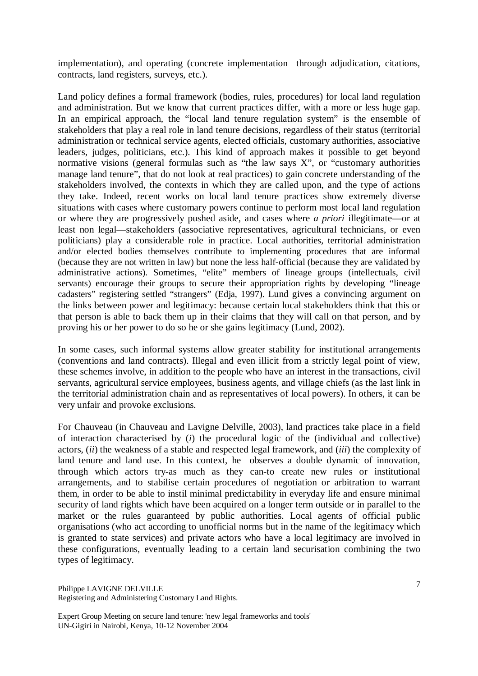implementation), and operating (concrete implementation through adjudication, citations, contracts, land registers, surveys, etc.).

Land policy defines a formal framework (bodies, rules, procedures) for local land regulation and administration. But we know that current practices differ, with a more or less huge gap. In an empirical approach, the "local land tenure regulation system" is the ensemble of stakeholders that play a real role in land tenure decisions, regardless of their status (territorial administration or technical service agents, elected officials, customary authorities, associative leaders, judges, politicians, etc.). This kind of approach makes it possible to get beyond normative visions (general formulas such as "the law says  $X$ ", or "customary authorities" manage land tenure", that do not look at real practices) to gain concrete understanding of the stakeholders involved, the contexts in which they are called upon, and the type of actions they take. Indeed, recent works on local land tenure practices show extremely diverse situations with cases where customary powers continue to perform most local land regulation or where they are progressively pushed aside, and cases where *a priori* illegitimate—or at least non legal—stakeholders (associative representatives, agricultural technicians, or even politicians) play a considerable role in practice. Local authorities, territorial administration and/or elected bodies themselves contribute to implementing procedures that are informal (because they are not written in law) but none the less half-official (because they are validated by administrative actions). Sometimes, "elite" members of lineage groups (intellectuals, civil servants) encourage their groups to secure their appropriation rights by developing "lineage cadasters" registering settled "strangers" (Edja, 1997). Lund gives a convincing argument on the links between power and legitimacy: because certain local stakeholders think that this or that person is able to back them up in their claims that they will call on that person, and by proving his or her power to do so he or she gains legitimacy (Lund, 2002).

In some cases, such informal systems allow greater stability for institutional arrangements (conventions and land contracts). Illegal and even illicit from a strictly legal point of view, these schemes involve, in addition to the people who have an interest in the transactions, civil servants, agricultural service employees, business agents, and village chiefs (as the last link in the territorial administration chain and as representatives of local powers). In others, it can be very unfair and provoke exclusions.

For Chauveau (in Chauveau and Lavigne Delville, 2003), land practices take place in a field of interaction characterised by (*i*) the procedural logic of the (individual and collective) actors, (*ii*) the weakness of a stable and respected legal framework, and (*iii*) the complexity of land tenure and land use. In this context, he observes a double dynamic of innovation, through which actors try-as much as they can-to create new rules or institutional arrangements, and to stabilise certain procedures of negotiation or arbitration to warrant them, in order to be able to instil minimal predictability in everyday life and ensure minimal security of land rights which have been acquired on a longer term outside or in parallel to the market or the rules guaranteed by public authorities. Local agents of official public organisations (who act according to unofficial norms but in the name of the legitimacy which is granted to state services) and private actors who have a local legitimacy are involved in these configurations, eventually leading to a certain land securisation combining the two types of legitimacy.

Philippe LAVIGNE DELVILLE Registering and Administering Customary Land Rights.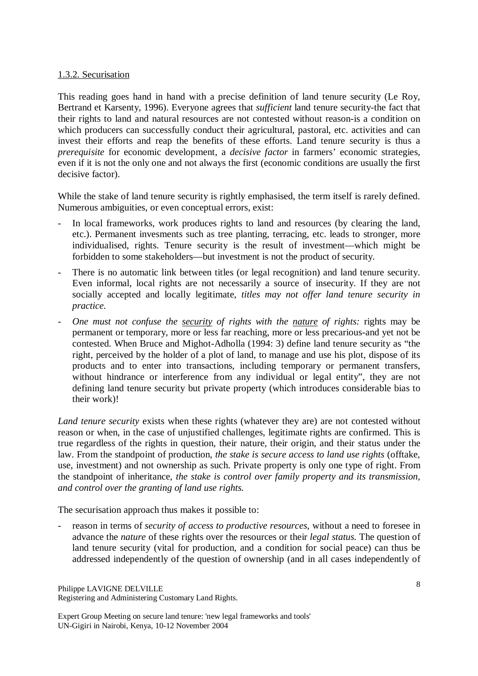### 1.3.2. Securisation

This reading goes hand in hand with a precise definition of land tenure security (Le Roy, Bertrand et Karsenty, 1996). Everyone agrees that *sufficient* land tenure security-the fact that their rights to land and natural resources are not contested without reason-is a condition on which producers can successfully conduct their agricultural, pastoral, etc. activities and can invest their efforts and reap the benefits of these efforts. Land tenure security is thus a *prerequisite* for economic development, a *decisive factor* in farmers' economic strategies, even if it is not the only one and not always the first (economic conditions are usually the first decisive factor).

While the stake of land tenure security is rightly emphasised, the term itself is rarely defined. Numerous ambiguities, or even conceptual errors, exist:

- In local frameworks, work produces rights to land and resources (by clearing the land, etc.). Permanent invesments such as tree planting, terracing, etc. leads to stronger, more individualised, rights. Tenure security is the result of investment—which might be forbidden to some stakeholders—but investment is not the product of security.
- There is no automatic link between titles (or legal recognition) and land tenure security. Even informal, local rights are not necessarily a source of insecurity. If they are not socially accepted and locally legitimate, *titles may not offer land tenure security in practice.*
- *One must not confuse the security of rights with the nature of rights:* rights may be permanent or temporary, more or less far reaching, more or less precarious-and yet not be contested. When Bruce and Mighot-Adholla (1994: 3) define land tenure security as "the right, perceived by the holder of a plot of land, to manage and use his plot, dispose of its products and to enter into transactions, including temporary or permanent transfers, without hindrance or interference from any individual or legal entity", they are not defining land tenure security but private property (which introduces considerable bias to their work)!

*Land tenure security* exists when these rights (whatever they are) are not contested without reason or when, in the case of unjustified challenges, legitimate rights are confirmed. This is true regardless of the rights in question, their nature, their origin, and their status under the law. From the standpoint of production, *the stake is secure access to land use rights* (offtake, use, investment) and not ownership as such. Private property is only one type of right. From the standpoint of inheritance, *the stake is control over family property and its transmission, and control over the granting of land use rights.*

The securisation approach thus makes it possible to:

- reason in terms of *security of access to productive resources*, without a need to foresee in advance the *nature* of these rights over the resources or their *legal status.* The question of land tenure security (vital for production, and a condition for social peace) can thus be addressed independently of the question of ownership (and in all cases independently of

Philippe LAVIGNE DELVILLE Registering and Administering Customary Land Rights.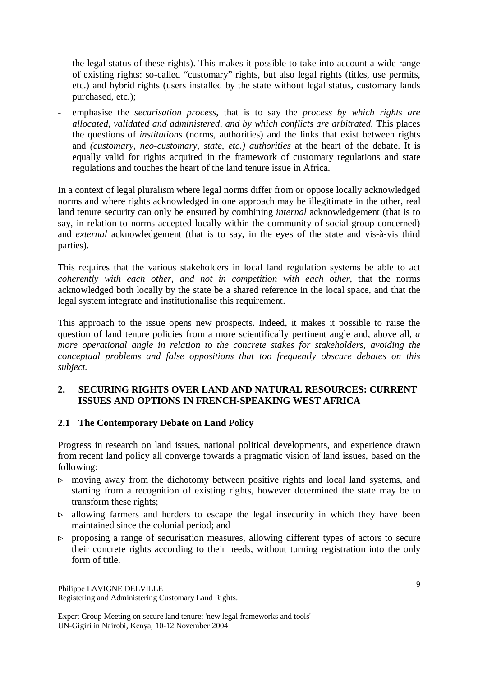the legal status of these rights). This makes it possible to take into account a wide range of existing rights: so-called "customary" rights, but also legal rights (titles, use permits, etc.) and hybrid rights (users installed by the state without legal status, customary lands purchased, etc.);

- emphasise the *securisation process*, that is to say the *process by which rights are allocated, validated and administered, and by which conflicts are arbitrated.* This places the questions of *institutions* (norms, authorities) and the links that exist between rights and *(customary, neo-customary, state, etc.) authorities* at the heart of the debate. It is equally valid for rights acquired in the framework of customary regulations and state regulations and touches the heart of the land tenure issue in Africa.

In a context of legal pluralism where legal norms differ from or oppose locally acknowledged norms and where rights acknowledged in one approach may be illegitimate in the other, real land tenure security can only be ensured by combining *internal* acknowledgement (that is to say, in relation to norms accepted locally within the community of social group concerned) and *external* acknowledgement (that is to say, in the eyes of the state and vis-à-vis third parties).

This requires that the various stakeholders in local land regulation systems be able to act *coherently with each other, and not in competition with each other*, that the norms acknowledged both locally by the state be a shared reference in the local space, and that the legal system integrate and institutionalise this requirement.

This approach to the issue opens new prospects. Indeed, it makes it possible to raise the question of land tenure policies from a more scientifically pertinent angle and, above all, *a more operational angle in relation to the concrete stakes for stakeholders, avoiding the conceptual problems and false oppositions that too frequently obscure debates on this subject.* 

# **2. SECURING RIGHTS OVER LAND AND NATURAL RESOURCES: CURRENT ISSUES AND OPTIONS IN FRENCH-SPEAKING WEST AFRICA**

# **2.1 The Contemporary Debate on Land Policy**

Progress in research on land issues, national political developments, and experience drawn from recent land policy all converge towards a pragmatic vision of land issues, based on the following:

- $\triangleright$  moving away from the dichotomy between positive rights and local land systems, and starting from a recognition of existing rights, however determined the state may be to transform these rights;
- $\triangleright$  allowing farmers and herders to escape the legal insecurity in which they have been maintained since the colonial period; and
- $\triangleright$  proposing a range of securisation measures, allowing different types of actors to secure their concrete rights according to their needs, without turning registration into the only form of title.

Philippe LAVIGNE DELVILLE Registering and Administering Customary Land Rights.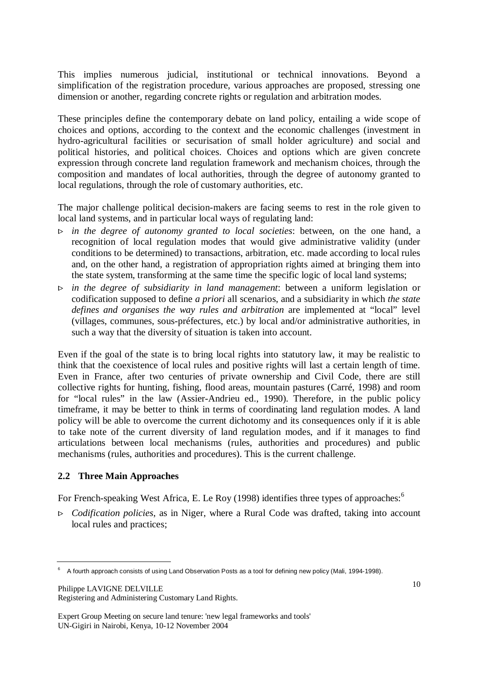This implies numerous judicial, institutional or technical innovations. Beyond a simplification of the registration procedure, various approaches are proposed, stressing one dimension or another, regarding concrete rights or regulation and arbitration modes.

These principles define the contemporary debate on land policy, entailing a wide scope of choices and options, according to the context and the economic challenges (investment in hydro-agricultural facilities or securisation of small holder agriculture) and social and political histories, and political choices. Choices and options which are given concrete expression through concrete land regulation framework and mechanism choices, through the composition and mandates of local authorities, through the degree of autonomy granted to local regulations, through the role of customary authorities, etc.

The major challenge political decision-makers are facing seems to rest in the role given to local land systems, and in particular local ways of regulating land:

- > *in the degree of autonomy granted to local societies*: between, on the one hand, a recognition of local regulation modes that would give administrative validity (under conditions to be determined) to transactions, arbitration, etc. made according to local rules and, on the other hand, a registration of appropriation rights aimed at bringing them into the state system, transforming at the same time the specific logic of local land systems;
- > *in the degree of subsidiarity in land management*: between a uniform legislation or codification supposed to define *a priori* all scenarios, and a subsidiarity in which *the state defines and organises the way rules and arbitration* are implemented at "local" level (villages, communes, sous-préfectures, etc.) by local and/or administrative authorities, in such a way that the diversity of situation is taken into account.

Even if the goal of the state is to bring local rights into statutory law, it may be realistic to think that the coexistence of local rules and positive rights will last a certain length of time. Even in France, after two centuries of private ownership and Civil Code, there are still collective rights for hunting, fishing, flood areas, mountain pastures (Carré, 1998) and room for "local rules" in the law (Assier-Andrieu ed., 1990). Therefore, in the public policy timeframe, it may be better to think in terms of coordinating land regulation modes. A land policy will be able to overcome the current dichotomy and its consequences only if it is able to take note of the current diversity of land regulation modes, and if it manages to find articulations between local mechanisms (rules, authorities and procedures) and public mechanisms (rules, authorities and procedures). This is the current challenge.

### **2.2 Three Main Approaches**

For French-speaking West Africa, E. Le Roy (1998) identifies three types of approaches:<sup>6</sup>

> *Codification policies*, as in Niger, where a Rural Code was drafted, taking into account local rules and practices;

Philippe LAVIGNE DELVILLE Registering and Administering Customary Land Rights.

<sup>6</sup> A fourth approach consists of using Land Observation Posts as a tool for defining new policy (Mali, 1994-1998).

Expert Group Meeting on secure land tenure: 'new legal frameworks and tools' UN-Gigiri in Nairobi, Kenya, 10-12 November 2004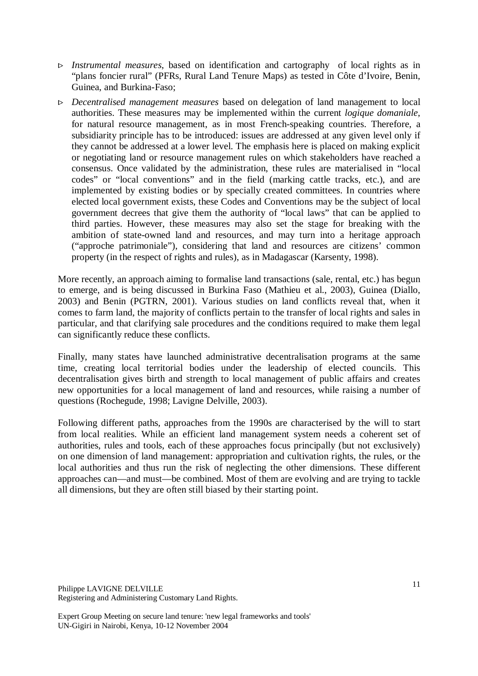- > *Instrumental measures*, based on identification and cartography of local rights as in "plans foncier rural" (PFRs, Rural Land Tenure Maps) as tested in Côte d'Ivoire, Benin, Guinea, and Burkina-Faso;
- > *Decentralised management measures* based on delegation of land management to local authorities. These measures may be implemented within the current *logique domaniale*, for natural resource management, as in most French-speaking countries. Therefore, a subsidiarity principle has to be introduced: issues are addressed at any given level only if they cannot be addressed at a lower level. The emphasis here is placed on making explicit or negotiating land or resource management rules on which stakeholders have reached a consensus. Once validated by the administration, these rules are materialised in "local codes" or "local conventions" and in the field (marking cattle tracks, etc.), and are implemented by existing bodies or by specially created committees. In countries where elected local government exists, these Codes and Conventions may be the subject of local government decrees that give them the authority of "local laws" that can be applied to third parties. However, these measures may also set the stage for breaking with the ambition of state-owned land and resources, and may turn into a heritage approach ("approche patrimoniale"), considering that land and resources are citizens' common property (in the respect of rights and rules), as in Madagascar (Karsenty, 1998).

More recently, an approach aiming to formalise land transactions (sale, rental, etc.) has begun to emerge, and is being discussed in Burkina Faso (Mathieu et al., 2003), Guinea (Diallo, 2003) and Benin (PGTRN, 2001). Various studies on land conflicts reveal that, when it comes to farm land, the majority of conflicts pertain to the transfer of local rights and sales in particular, and that clarifying sale procedures and the conditions required to make them legal can significantly reduce these conflicts.

Finally, many states have launched administrative decentralisation programs at the same time, creating local territorial bodies under the leadership of elected councils. This decentralisation gives birth and strength to local management of public affairs and creates new opportunities for a local management of land and resources, while raising a number of questions (Rochegude, 1998; Lavigne Delville, 2003).

Following different paths, approaches from the 1990s are characterised by the will to start from local realities. While an efficient land management system needs a coherent set of authorities, rules and tools, each of these approaches focus principally (but not exclusively) on one dimension of land management: appropriation and cultivation rights, the rules, or the local authorities and thus run the risk of neglecting the other dimensions. These different approaches can—and must—be combined. Most of them are evolving and are trying to tackle all dimensions, but they are often still biased by their starting point.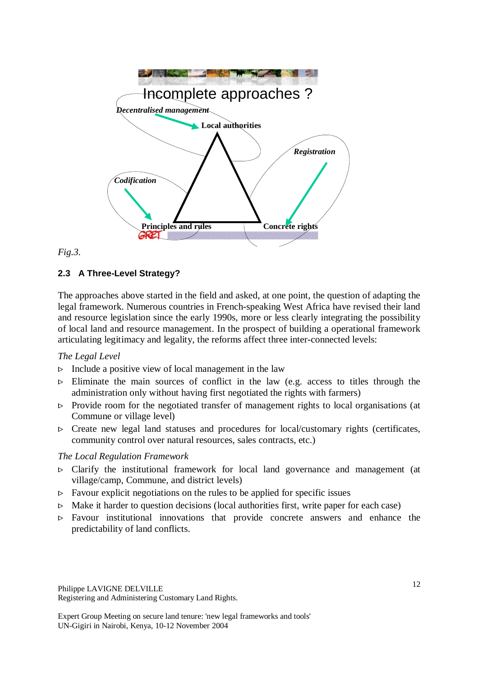

#### *Fig.3.*

### **2.3 A Three-Level Strategy?**

The approaches above started in the field and asked, at one point, the question of adapting the legal framework. Numerous countries in French-speaking West Africa have revised their land and resource legislation since the early 1990s, more or less clearly integrating the possibility of local land and resource management. In the prospect of building a operational framework articulating legitimacy and legality, the reforms affect three inter-connected levels:

#### *The Legal Level*

- $\triangleright$  Include a positive view of local management in the law
- $\triangleright$  Eliminate the main sources of conflict in the law (e.g. access to titles through the administration only without having first negotiated the rights with farmers)
- $\triangleright$  Provide room for the negotiated transfer of management rights to local organisations (at Commune or village level)
- $\triangleright$  Create new legal land statuses and procedures for local/customary rights (certificates, community control over natural resources, sales contracts, etc.)

#### *The Local Regulation Framework*

- $\triangleright$  Clarify the institutional framework for local land governance and management (at village/camp, Commune, and district levels)
- $\triangleright$  Favour explicit negotiations on the rules to be applied for specific issues
- $\triangleright$  Make it harder to question decisions (local authorities first, write paper for each case)
- $\triangleright$  Favour institutional innovations that provide concrete answers and enhance the predictability of land conflicts.

Philippe LAVIGNE DELVILLE Registering and Administering Customary Land Rights.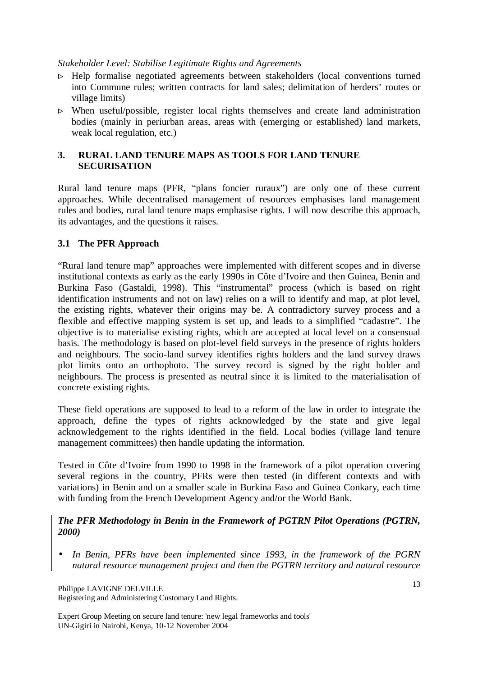### *Stakeholder Level: Stabilise Legitimate Rights and Agreements*

- $\triangleright$  Help formalise negotiated agreements between stakeholders (local conventions turned into Commune rules; written contracts for land sales; delimitation of herders' routes or village limits)
- $\triangleright$  When useful/possible, register local rights themselves and create land administration bodies (mainly in periurban areas, areas with (emerging or established) land markets, weak local regulation, etc.)

# **3. RURAL LAND TENURE MAPS AS TOOLS FOR LAND TENURE SECURISATION**

Rural land tenure maps (PFR, "plans foncier ruraux") are only one of these current approaches. While decentralised management of resources emphasises land management rules and bodies, rural land tenure maps emphasise rights. I will now describe this approach, its advantages, and the questions it raises.

# **3.1 The PFR Approach**

"Rural land tenure map" approaches were implemented with different scopes and in diverse institutional contexts as early as the early 1990s in Côte d'Ivoire and then Guinea, Benin and Burkina Faso (Gastaldi, 1998). This "instrumental" process (which is based on right identification instruments and not on law) relies on a will to identify and map, at plot level, the existing rights, whatever their origins may be. A contradictory survey process and a flexible and effective mapping system is set up, and leads to a simplified "cadastre". The objective is to materialise existing rights, which are accepted at local level on a consensual basis. The methodology is based on plot-level field surveys in the presence of rights holders and neighbours. The socio-land survey identifies rights holders and the land survey draws plot limits onto an orthophoto. The survey record is signed by the right holder and neighbours. The process is presented as neutral since it is limited to the materialisation of concrete existing rights.

These field operations are supposed to lead to a reform of the law in order to integrate the approach, define the types of rights acknowledged by the state and give legal acknowledgement to the rights identified in the field. Local bodies (village land tenure management committees) then handle updating the information.

Tested in Côte d'Ivoire from 1990 to 1998 in the framework of a pilot operation covering several regions in the country, PFRs were then tested (in different contexts and with variations) in Benin and on a smaller scale in Burkina Faso and Guinea Conkary, each time with funding from the French Development Agency and/or the World Bank.

### *The PFR Methodology in Benin in the Framework of PGTRN Pilot Operations (PGTRN, 2000)*

• *In Benin, PFRs have been implemented since 1993, in the framework of the PGRN natural resource management project and then the PGTRN territory and natural resource* 

Philippe LAVIGNE DELVILLE Registering and Administering Customary Land Rights.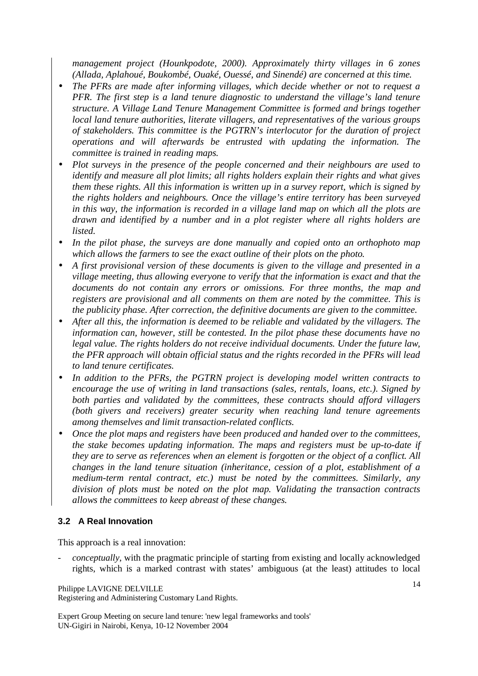*management project (Hounkpodote, 2000). Approximately thirty villages in 6 zones (Allada, Aplahoué, Boukombé, Ouaké, Ouessé, and Sinendé) are concerned at this time.* 

- *The PFRs are made after informing villages, which decide whether or not to request a PFR. The first step is a land tenure diagnostic to understand the village's land tenure structure. A Village Land Tenure Management Committee is formed and brings together local land tenure authorities, literate villagers, and representatives of the various groups of stakeholders. This committee is the PGTRN's interlocutor for the duration of project operations and will afterwards be entrusted with updating the information. The committee is trained in reading maps.*
- *Plot surveys in the presence of the people concerned and their neighbours are used to identify and measure all plot limits; all rights holders explain their rights and what gives them these rights. All this information is written up in a survey report, which is signed by the rights holders and neighbours. Once the village's entire territory has been surveyed in this way, the information is recorded in a village land map on which all the plots are drawn and identified by a number and in a plot register where all rights holders are listed.*
- *In the pilot phase, the surveys are done manually and copied onto an orthophoto map which allows the farmers to see the exact outline of their plots on the photo.*
- *A first provisional version of these documents is given to the village and presented in a village meeting, thus allowing everyone to verify that the information is exact and that the documents do not contain any errors or omissions. For three months, the map and registers are provisional and all comments on them are noted by the committee. This is the publicity phase. After correction, the definitive documents are given to the committee.*
- *After all this, the information is deemed to be reliable and validated by the villagers. The information can, however, still be contested. In the pilot phase these documents have no legal value. The rights holders do not receive individual documents. Under the future law, the PFR approach will obtain official status and the rights recorded in the PFRs will lead to land tenure certificates.*
- *In addition to the PFRs, the PGTRN project is developing model written contracts to encourage the use of writing in land transactions (sales, rentals, loans, etc.). Signed by both parties and validated by the committees, these contracts should afford villagers (both givers and receivers) greater security when reaching land tenure agreements among themselves and limit transaction-related conflicts.*
- *Once the plot maps and registers have been produced and handed over to the committees, the stake becomes updating information. The maps and registers must be up-to-date if they are to serve as references when an element is forgotten or the object of a conflict. All changes in the land tenure situation (inheritance, cession of a plot, establishment of a medium-term rental contract, etc.) must be noted by the committees. Similarly, any division of plots must be noted on the plot map. Validating the transaction contracts allows the committees to keep abreast of these changes.*

# **3.2 A Real Innovation**

This approach is a real innovation:

- *conceptually*, with the pragmatic principle of starting from existing and locally acknowledged rights, which is a marked contrast with states' ambiguous (at the least) attitudes to local

Philippe LAVIGNE DELVILLE

Registering and Administering Customary Land Rights.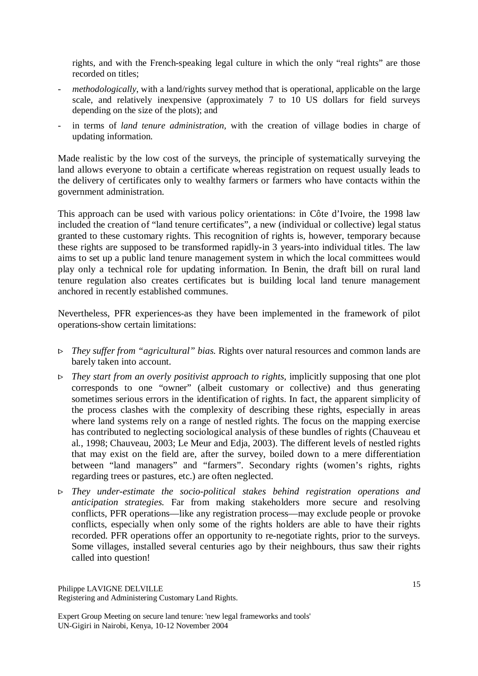rights, and with the French-speaking legal culture in which the only "real rights" are those recorded on titles;

- methodologically, with a land/rights survey method that is operational, applicable on the large scale, and relatively inexpensive (approximately 7 to 10 US dollars for field surveys depending on the size of the plots); and
- in terms of *land tenure administration*, with the creation of village bodies in charge of updating information.

Made realistic by the low cost of the surveys, the principle of systematically surveying the land allows everyone to obtain a certificate whereas registration on request usually leads to the delivery of certificates only to wealthy farmers or farmers who have contacts within the government administration.

This approach can be used with various policy orientations: in Côte d'Ivoire, the 1998 law included the creation of "land tenure certificates", a new (individual or collective) legal status granted to these customary rights. This recognition of rights is, however, temporary because these rights are supposed to be transformed rapidly-in 3 years-into individual titles. The law aims to set up a public land tenure management system in which the local committees would play only a technical role for updating information. In Benin, the draft bill on rural land tenure regulation also creates certificates but is building local land tenure management anchored in recently established communes.

Nevertheless, PFR experiences-as they have been implemented in the framework of pilot operations-show certain limitations:

- > *They suffer from "agricultural" bias.* Rights over natural resources and common lands are barely taken into account.
- > *They start from an overly positivist approach to rights,* implicitly supposing that one plot corresponds to one "owner" (albeit customary or collective) and thus generating sometimes serious errors in the identification of rights. In fact, the apparent simplicity of the process clashes with the complexity of describing these rights, especially in areas where land systems rely on a range of nestled rights. The focus on the mapping exercise has contributed to neglecting sociological analysis of these bundles of rights (Chauveau et al., 1998; Chauveau, 2003; Le Meur and Edja, 2003). The different levels of nestled rights that may exist on the field are, after the survey, boiled down to a mere differentiation between "land managers" and "farmers". Secondary rights (women's rights, rights regarding trees or pastures, etc.) are often neglected.
- > *They under-estimate the socio-political stakes behind registration operations and anticipation strategies.* Far from making stakeholders more secure and resolving conflicts, PFR operations—like any registration process—may exclude people or provoke conflicts, especially when only some of the rights holders are able to have their rights recorded. PFR operations offer an opportunity to re-negotiate rights, prior to the surveys. Some villages, installed several centuries ago by their neighbours, thus saw their rights called into question!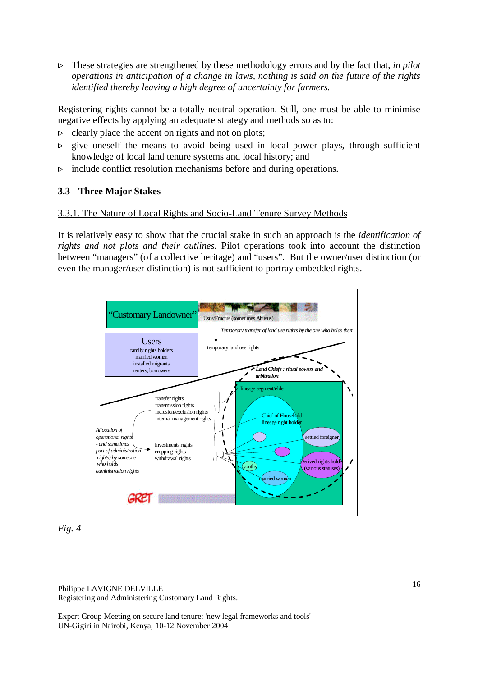> These strategies are strengthened by these methodology errors and by the fact that, *in pilot operations in anticipation of a change in laws, nothing is said on the future of the rights identified thereby leaving a high degree of uncertainty for farmers.* 

Registering rights cannot be a totally neutral operation. Still, one must be able to minimise negative effects by applying an adequate strategy and methods so as to:

- $\triangleright$  clearly place the accent on rights and not on plots;<br> $\triangleright$  give oneself the means to avoid being used in
- give oneself the means to avoid being used in local power plays, through sufficient knowledge of local land tenure systems and local history; and
- $\triangleright$  include conflict resolution mechanisms before and during operations.

# **3.3 Three Major Stakes**

### 3.3.1. The Nature of Local Rights and Socio-Land Tenure Survey Methods

It is relatively easy to show that the crucial stake in such an approach is the *identification of rights and not plots and their outlines.* Pilot operations took into account the distinction between "managers" (of a collective heritage) and "users". But the owner/user distinction (or even the manager/user distinction) is not sufficient to portray embedded rights.





Philippe LAVIGNE DELVILLE Registering and Administering Customary Land Rights.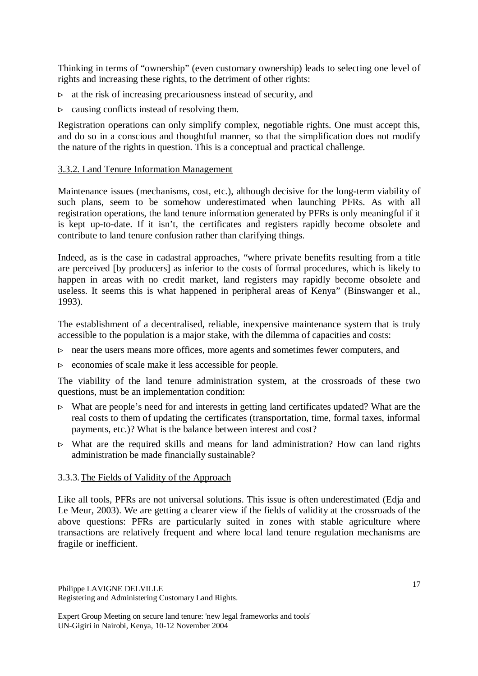Thinking in terms of "ownership" (even customary ownership) leads to selecting one level of rights and increasing these rights, to the detriment of other rights:

- $\triangleright$  at the risk of increasing precariousness instead of security, and
- $\triangleright$  causing conflicts instead of resolving them.

Registration operations can only simplify complex, negotiable rights. One must accept this, and do so in a conscious and thoughtful manner, so that the simplification does not modify the nature of the rights in question. This is a conceptual and practical challenge.

#### 3.3.2. Land Tenure Information Management

Maintenance issues (mechanisms, cost, etc.), although decisive for the long-term viability of such plans, seem to be somehow underestimated when launching PFRs. As with all registration operations, the land tenure information generated by PFRs is only meaningful if it is kept up-to-date. If it isn't, the certificates and registers rapidly become obsolete and contribute to land tenure confusion rather than clarifying things.

Indeed, as is the case in cadastral approaches, "where private benefits resulting from a title are perceived [by producers] as inferior to the costs of formal procedures, which is likely to happen in areas with no credit market, land registers may rapidly become obsolete and useless. It seems this is what happened in peripheral areas of Kenya" (Binswanger et al., 1993).

The establishment of a decentralised, reliable, inexpensive maintenance system that is truly accessible to the population is a major stake, with the dilemma of capacities and costs:

- $\triangleright$  near the users means more offices, more agents and sometimes fewer computers, and
- $\triangleright$  economies of scale make it less accessible for people.

The viability of the land tenure administration system, at the crossroads of these two questions, must be an implementation condition:

- $\triangleright$  What are people's need for and interests in getting land certificates updated? What are the real costs to them of updating the certificates (transportation, time, formal taxes, informal payments, etc.)? What is the balance between interest and cost?
- $\triangleright$  What are the required skills and means for land administration? How can land rights administration be made financially sustainable?

### 3.3.3.The Fields of Validity of the Approach

Like all tools, PFRs are not universal solutions. This issue is often underestimated (Edja and Le Meur, 2003). We are getting a clearer view if the fields of validity at the crossroads of the above questions: PFRs are particularly suited in zones with stable agriculture where transactions are relatively frequent and where local land tenure regulation mechanisms are fragile or inefficient.

Philippe LAVIGNE DELVILLE Registering and Administering Customary Land Rights.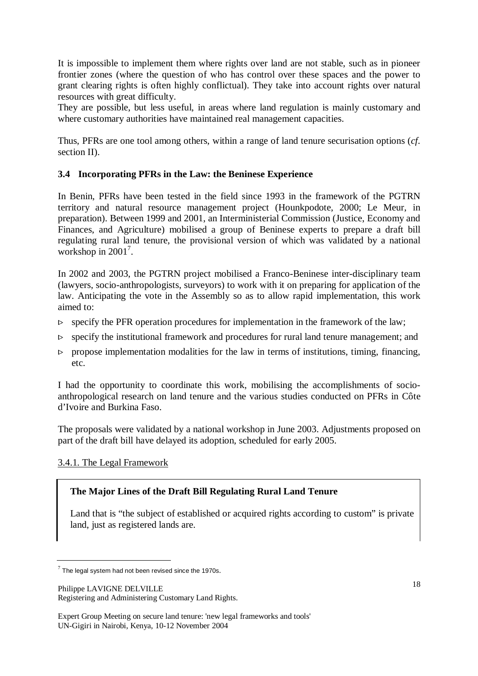It is impossible to implement them where rights over land are not stable, such as in pioneer frontier zones (where the question of who has control over these spaces and the power to grant clearing rights is often highly conflictual). They take into account rights over natural resources with great difficulty.

They are possible, but less useful, in areas where land regulation is mainly customary and where customary authorities have maintained real management capacities.

Thus, PFRs are one tool among others, within a range of land tenure securisation options (*cf.* section II).

# **3.4 Incorporating PFRs in the Law: the Beninese Experience**

In Benin, PFRs have been tested in the field since 1993 in the framework of the PGTRN territory and natural resource management project (Hounkpodote, 2000; Le Meur, in preparation). Between 1999 and 2001, an Interministerial Commission (Justice, Economy and Finances, and Agriculture) mobilised a group of Beninese experts to prepare a draft bill regulating rural land tenure, the provisional version of which was validated by a national workshop in 2001<sup>7</sup>.

In 2002 and 2003, the PGTRN project mobilised a Franco-Beninese inter-disciplinary team (lawyers, socio-anthropologists, surveyors) to work with it on preparing for application of the law. Anticipating the vote in the Assembly so as to allow rapid implementation, this work aimed to:

- $\triangleright$  specify the PFR operation procedures for implementation in the framework of the law;
- $\triangleright$  specify the institutional framework and procedures for rural land tenure management; and
- $\triangleright$  propose implementation modalities for the law in terms of institutions, timing, financing, etc.

I had the opportunity to coordinate this work, mobilising the accomplishments of socioanthropological research on land tenure and the various studies conducted on PFRs in Côte d'Ivoire and Burkina Faso.

The proposals were validated by a national workshop in June 2003. Adjustments proposed on part of the draft bill have delayed its adoption, scheduled for early 2005.

# 3.4.1. The Legal Framework

# **The Major Lines of the Draft Bill Regulating Rural Land Tenure**

Land that is "the subject of established or acquired rights according to custom" is private land, just as registered lands are.

Philippe LAVIGNE DELVILLE Registering and Administering Customary Land Rights.

 $7$  The legal system had not been revised since the 1970s.

Expert Group Meeting on secure land tenure: 'new legal frameworks and tools' UN-Gigiri in Nairobi, Kenya, 10-12 November 2004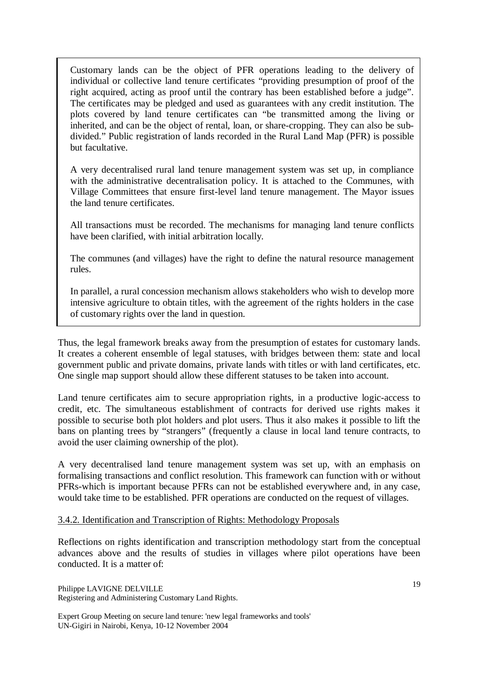Customary lands can be the object of PFR operations leading to the delivery of individual or collective land tenure certificates "providing presumption of proof of the right acquired, acting as proof until the contrary has been established before a judge". The certificates may be pledged and used as guarantees with any credit institution. The plots covered by land tenure certificates can "be transmitted among the living or inherited, and can be the object of rental, loan, or share-cropping. They can also be subdivided." Public registration of lands recorded in the Rural Land Map (PFR) is possible but facultative.

A very decentralised rural land tenure management system was set up, in compliance with the administrative decentralisation policy. It is attached to the Communes, with Village Committees that ensure first-level land tenure management. The Mayor issues the land tenure certificates.

All transactions must be recorded. The mechanisms for managing land tenure conflicts have been clarified, with initial arbitration locally.

The communes (and villages) have the right to define the natural resource management rules.

In parallel, a rural concession mechanism allows stakeholders who wish to develop more intensive agriculture to obtain titles, with the agreement of the rights holders in the case of customary rights over the land in question.

Thus, the legal framework breaks away from the presumption of estates for customary lands. It creates a coherent ensemble of legal statuses, with bridges between them: state and local government public and private domains, private lands with titles or with land certificates, etc. One single map support should allow these different statuses to be taken into account.

Land tenure certificates aim to secure appropriation rights, in a productive logic-access to credit, etc. The simultaneous establishment of contracts for derived use rights makes it possible to securise both plot holders and plot users. Thus it also makes it possible to lift the bans on planting trees by "strangers" (frequently a clause in local land tenure contracts, to avoid the user claiming ownership of the plot).

A very decentralised land tenure management system was set up, with an emphasis on formalising transactions and conflict resolution. This framework can function with or without PFRs-which is important because PFRs can not be established everywhere and, in any case, would take time to be established. PFR operations are conducted on the request of villages.

### 3.4.2. Identification and Transcription of Rights: Methodology Proposals

Reflections on rights identification and transcription methodology start from the conceptual advances above and the results of studies in villages where pilot operations have been conducted. It is a matter of:

Philippe LAVIGNE DELVILLE Registering and Administering Customary Land Rights.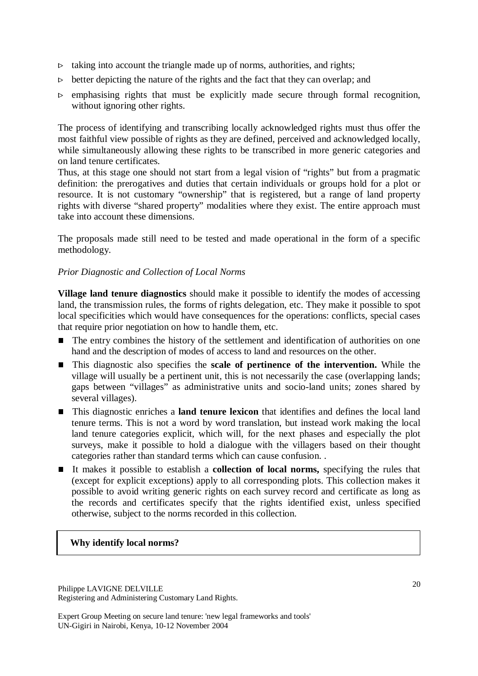- $\triangleright$  taking into account the triangle made up of norms, authorities, and rights;
- $\triangleright$  better depicting the nature of the rights and the fact that they can overlap; and
- $\triangleright$  emphasising rights that must be explicitly made secure through formal recognition, without ignoring other rights.

The process of identifying and transcribing locally acknowledged rights must thus offer the most faithful view possible of rights as they are defined, perceived and acknowledged locally, while simultaneously allowing these rights to be transcribed in more generic categories and on land tenure certificates.

Thus, at this stage one should not start from a legal vision of "rights" but from a pragmatic definition: the prerogatives and duties that certain individuals or groups hold for a plot or resource. It is not customary "ownership" that is registered, but a range of land property rights with diverse "shared property" modalities where they exist. The entire approach must take into account these dimensions.

The proposals made still need to be tested and made operational in the form of a specific methodology.

#### *Prior Diagnostic and Collection of Local Norms*

**Village land tenure diagnostics** should make it possible to identify the modes of accessing land, the transmission rules, the forms of rights delegation, etc. They make it possible to spot local specificities which would have consequences for the operations: conflicts, special cases that require prior negotiation on how to handle them, etc.

- The entry combines the history of the settlement and identification of authorities on one hand and the description of modes of access to land and resources on the other.
- This diagnostic also specifies the **scale of pertinence of the intervention.** While the village will usually be a pertinent unit, this is not necessarily the case (overlapping lands; gaps between "villages" as administrative units and socio-land units; zones shared by several villages).
- This diagnostic enriches a **land tenure lexicon** that identifies and defines the local land tenure terms. This is not a word by word translation, but instead work making the local land tenure categories explicit, which will, for the next phases and especially the plot surveys, make it possible to hold a dialogue with the villagers based on their thought categories rather than standard terms which can cause confusion. .
- It makes it possible to establish a **collection of local norms,** specifying the rules that (except for explicit exceptions) apply to all corresponding plots. This collection makes it possible to avoid writing generic rights on each survey record and certificate as long as the records and certificates specify that the rights identified exist, unless specified otherwise, subject to the norms recorded in this collection.

#### **Why identify local norms?**

Philippe LAVIGNE DELVILLE Registering and Administering Customary Land Rights.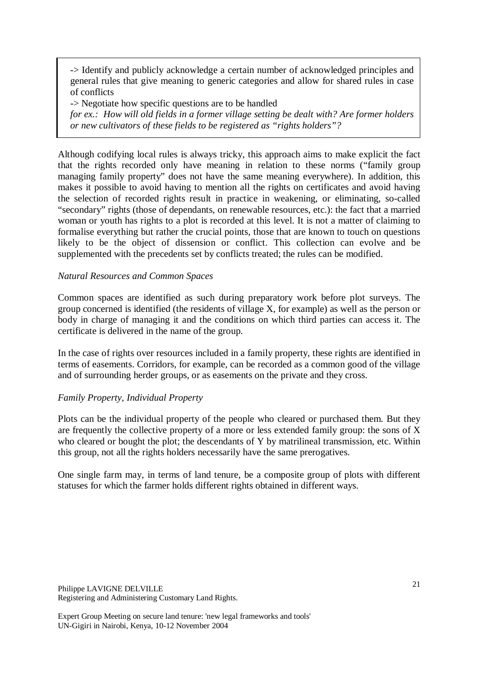-> Identify and publicly acknowledge a certain number of acknowledged principles and general rules that give meaning to generic categories and allow for shared rules in case of conflicts

-> Negotiate how specific questions are to be handled

*for ex.: How will old fields in a former village setting be dealt with? Are former holders or new cultivators of these fields to be registered as "rights holders"?*

Although codifying local rules is always tricky, this approach aims to make explicit the fact that the rights recorded only have meaning in relation to these norms ("family group managing family property" does not have the same meaning everywhere). In addition, this makes it possible to avoid having to mention all the rights on certificates and avoid having the selection of recorded rights result in practice in weakening, or eliminating, so-called "secondary" rights (those of dependants, on renewable resources, etc.): the fact that a married woman or youth has rights to a plot is recorded at this level. It is not a matter of claiming to formalise everything but rather the crucial points, those that are known to touch on questions likely to be the object of dissension or conflict. This collection can evolve and be supplemented with the precedents set by conflicts treated; the rules can be modified.

### *Natural Resources and Common Spaces*

Common spaces are identified as such during preparatory work before plot surveys. The group concerned is identified (the residents of village X, for example) as well as the person or body in charge of managing it and the conditions on which third parties can access it. The certificate is delivered in the name of the group.

In the case of rights over resources included in a family property, these rights are identified in terms of easements. Corridors, for example, can be recorded as a common good of the village and of surrounding herder groups, or as easements on the private and they cross.

### *Family Property, Individual Property*

Plots can be the individual property of the people who cleared or purchased them. But they are frequently the collective property of a more or less extended family group: the sons of X who cleared or bought the plot; the descendants of Y by matrilineal transmission, etc. Within this group, not all the rights holders necessarily have the same prerogatives.

One single farm may, in terms of land tenure, be a composite group of plots with different statuses for which the farmer holds different rights obtained in different ways.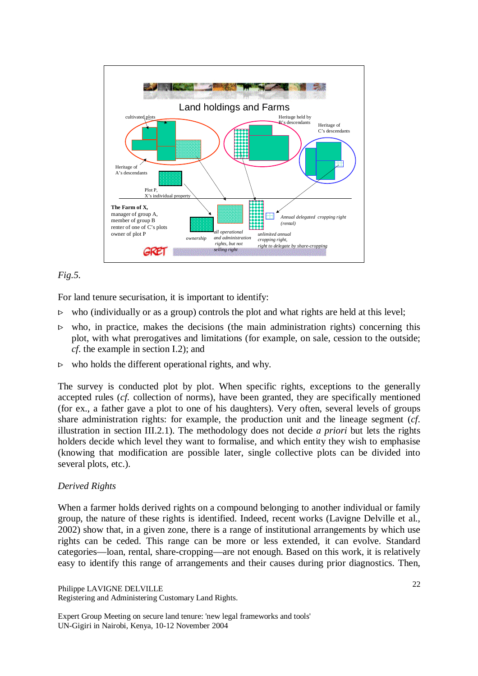

### *Fig.5.*

For land tenure securisation, it is important to identify:

- $\triangleright$  who (individually or as a group) controls the plot and what rights are held at this level;
- $\triangleright$  who, in practice, makes the decisions (the main administration rights) concerning this plot, with what prerogatives and limitations (for example, on sale, cession to the outside; *cf.* the example in section I.2); and
- $\triangleright$  who holds the different operational rights, and why.

The survey is conducted plot by plot. When specific rights, exceptions to the generally accepted rules (*cf.* collection of norms), have been granted, they are specifically mentioned (for ex., a father gave a plot to one of his daughters). Very often, several levels of groups share administration rights: for example, the production unit and the lineage segment (*cf.* illustration in section III.2.1). The methodology does not decide *a priori* but lets the rights holders decide which level they want to formalise, and which entity they wish to emphasise (knowing that modification are possible later, single collective plots can be divided into several plots, etc.).

#### *Derived Rights*

When a farmer holds derived rights on a compound belonging to another individual or family group, the nature of these rights is identified. Indeed, recent works (Lavigne Delville et al., 2002) show that, in a given zone, there is a range of institutional arrangements by which use rights can be ceded. This range can be more or less extended, it can evolve. Standard categories—loan, rental, share-cropping—are not enough. Based on this work, it is relatively easy to identify this range of arrangements and their causes during prior diagnostics. Then,

Philippe LAVIGNE DELVILLE Registering and Administering Customary Land Rights.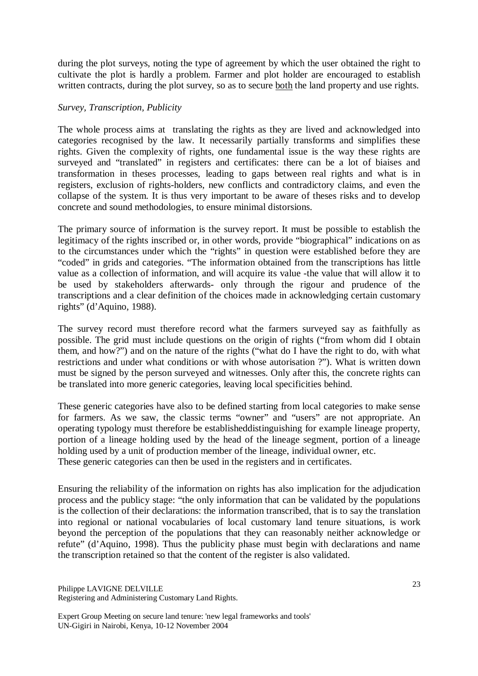during the plot surveys, noting the type of agreement by which the user obtained the right to cultivate the plot is hardly a problem. Farmer and plot holder are encouraged to establish written contracts, during the plot survey, so as to secure both the land property and use rights.

#### *Survey, Transcription, Publicity*

The whole process aims at translating the rights as they are lived and acknowledged into categories recognised by the law. It necessarily partially transforms and simplifies these rights. Given the complexity of rights, one fundamental issue is the way these rights are surveyed and "translated" in registers and certificates: there can be a lot of biaises and transformation in theses processes, leading to gaps between real rights and what is in registers, exclusion of rights-holders, new conflicts and contradictory claims, and even the collapse of the system. It is thus very important to be aware of theses risks and to develop concrete and sound methodologies, to ensure minimal distorsions.

The primary source of information is the survey report. It must be possible to establish the legitimacy of the rights inscribed or, in other words, provide "biographical" indications on as to the circumstances under which the "rights" in question were established before they are "coded" in grids and categories. "The information obtained from the transcriptions has little value as a collection of information, and will acquire its value -the value that will allow it to be used by stakeholders afterwards- only through the rigour and prudence of the transcriptions and a clear definition of the choices made in acknowledging certain customary rights" (d'Aquino, 1988).

The survey record must therefore record what the farmers surveyed say as faithfully as possible. The grid must include questions on the origin of rights ("from whom did I obtain them, and how?") and on the nature of the rights ("what do I have the right to do, with what restrictions and under what conditions or with whose autorisation ?"). What is written down must be signed by the person surveyed and witnesses. Only after this, the concrete rights can be translated into more generic categories, leaving local specificities behind.

These generic categories have also to be defined starting from local categories to make sense for farmers. As we saw, the classic terms "owner" and "users" are not appropriate. An operating typology must therefore be establisheddistinguishing for example lineage property, portion of a lineage holding used by the head of the lineage segment, portion of a lineage holding used by a unit of production member of the lineage, individual owner, etc. These generic categories can then be used in the registers and in certificates.

Ensuring the reliability of the information on rights has also implication for the adjudication process and the publicy stage: "the only information that can be validated by the populations is the collection of their declarations: the information transcribed, that is to say the translation into regional or national vocabularies of local customary land tenure situations, is work beyond the perception of the populations that they can reasonably neither acknowledge or refute" (d'Aquino, 1998). Thus the publicity phase must begin with declarations and name the transcription retained so that the content of the register is also validated.

Philippe LAVIGNE DELVILLE Registering and Administering Customary Land Rights.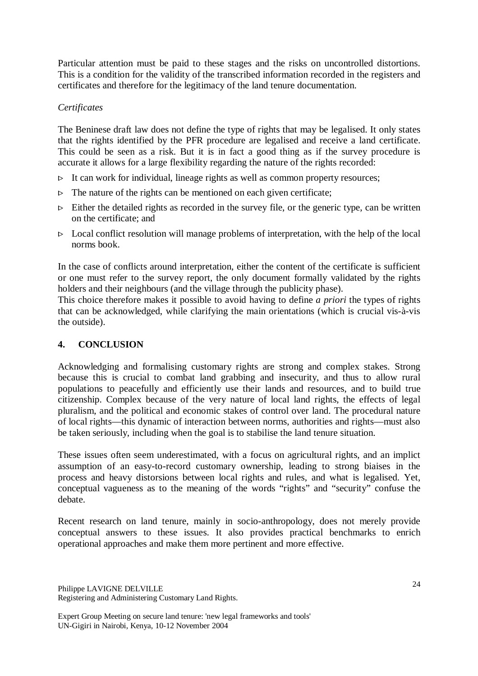Particular attention must be paid to these stages and the risks on uncontrolled distortions. This is a condition for the validity of the transcribed information recorded in the registers and certificates and therefore for the legitimacy of the land tenure documentation.

## *Certificates*

The Beninese draft law does not define the type of rights that may be legalised. It only states that the rights identified by the PFR procedure are legalised and receive a land certificate. This could be seen as a risk. But it is in fact a good thing as if the survey procedure is accurate it allows for a large flexibility regarding the nature of the rights recorded:

- $\triangleright$  It can work for individual, lineage rights as well as common property resources;
- $\triangleright$  The nature of the rights can be mentioned on each given certificate;
- $\triangleright$  Either the detailed rights as recorded in the survey file, or the generic type, can be written on the certificate; and
- $\triangleright$  Local conflict resolution will manage problems of interpretation, with the help of the local norms book.

In the case of conflicts around interpretation, either the content of the certificate is sufficient or one must refer to the survey report, the only document formally validated by the rights holders and their neighbours (and the village through the publicity phase).

This choice therefore makes it possible to avoid having to define *a priori* the types of rights that can be acknowledged, while clarifying the main orientations (which is crucial vis-à-vis the outside).

# **4. CONCLUSION**

Acknowledging and formalising customary rights are strong and complex stakes. Strong because this is crucial to combat land grabbing and insecurity, and thus to allow rural populations to peacefully and efficiently use their lands and resources, and to build true citizenship. Complex because of the very nature of local land rights, the effects of legal pluralism, and the political and economic stakes of control over land. The procedural nature of local rights—this dynamic of interaction between norms, authorities and rights—must also be taken seriously, including when the goal is to stabilise the land tenure situation.

These issues often seem underestimated, with a focus on agricultural rights, and an implict assumption of an easy-to-record customary ownership, leading to strong biaises in the process and heavy distorsions between local rights and rules, and what is legalised. Yet, conceptual vagueness as to the meaning of the words "rights" and "security" confuse the debate.

Recent research on land tenure, mainly in socio-anthropology, does not merely provide conceptual answers to these issues. It also provides practical benchmarks to enrich operational approaches and make them more pertinent and more effective.

Philippe LAVIGNE DELVILLE Registering and Administering Customary Land Rights.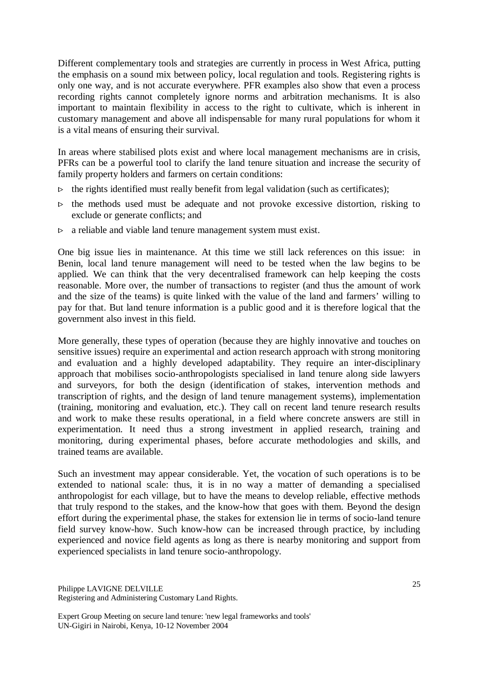Different complementary tools and strategies are currently in process in West Africa, putting the emphasis on a sound mix between policy, local regulation and tools. Registering rights is only one way, and is not accurate everywhere. PFR examples also show that even a process recording rights cannot completely ignore norms and arbitration mechanisms. It is also important to maintain flexibility in access to the right to cultivate, which is inherent in customary management and above all indispensable for many rural populations for whom it is a vital means of ensuring their survival.

In areas where stabilised plots exist and where local management mechanisms are in crisis, PFRs can be a powerful tool to clarify the land tenure situation and increase the security of family property holders and farmers on certain conditions:

- $\triangleright$  the rights identified must really benefit from legal validation (such as certificates);
- $\triangleright$  the methods used must be adequate and not provoke excessive distortion, risking to exclude or generate conflicts; and
- $\triangleright$  a reliable and viable land tenure management system must exist.

One big issue lies in maintenance. At this time we still lack references on this issue: in Benin, local land tenure management will need to be tested when the law begins to be applied. We can think that the very decentralised framework can help keeping the costs reasonable. More over, the number of transactions to register (and thus the amount of work and the size of the teams) is quite linked with the value of the land and farmers' willing to pay for that. But land tenure information is a public good and it is therefore logical that the government also invest in this field.

More generally, these types of operation (because they are highly innovative and touches on sensitive issues) require an experimental and action research approach with strong monitoring and evaluation and a highly developed adaptability. They require an inter-disciplinary approach that mobilises socio-anthropologists specialised in land tenure along side lawyers and surveyors, for both the design (identification of stakes, intervention methods and transcription of rights, and the design of land tenure management systems), implementation (training, monitoring and evaluation, etc.). They call on recent land tenure research results and work to make these results operational, in a field where concrete answers are still in experimentation. It need thus a strong investment in applied research, training and monitoring, during experimental phases, before accurate methodologies and skills, and trained teams are available.

Such an investment may appear considerable. Yet, the vocation of such operations is to be extended to national scale: thus, it is in no way a matter of demanding a specialised anthropologist for each village, but to have the means to develop reliable, effective methods that truly respond to the stakes, and the know-how that goes with them. Beyond the design effort during the experimental phase, the stakes for extension lie in terms of socio-land tenure field survey know-how. Such know-how can be increased through practice, by including experienced and novice field agents as long as there is nearby monitoring and support from experienced specialists in land tenure socio-anthropology.

Philippe LAVIGNE DELVILLE Registering and Administering Customary Land Rights.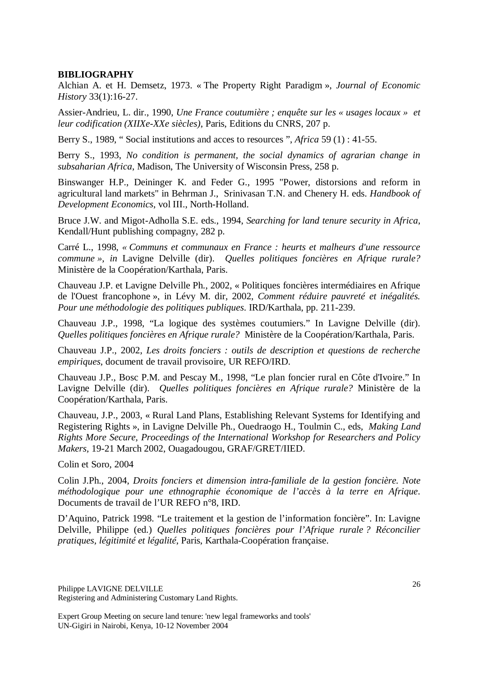### **BIBLIOGRAPHY**

Alchian A. et H. Demsetz, 1973. « The Property Right Paradigm », *Journal of Economic History* 33(1):16-27.

Assier-Andrieu, L. dir., 1990, *Une France coutumière ; enquête sur les « usages locaux » et leur codification (XIIXe-XXe siècles)*, Paris, Editions du CNRS, 207 p.

Berry S., 1989, " Social institutions and acces to resources ", *Africa* 59 (1) : 41-55.

Berry S., 1993, *No condition is permanent, the social dynamics of agrarian change in subsaharian Africa*, Madison, The University of Wisconsin Press, 258 p.

Binswanger H.P., Deininger K. and Feder G., 1995 "Power, distorsions and reform in agricultural land markets" in Behrman J., Srinivasan T.N. and Chenery H. eds. *Handbook of Development Economics*, vol III., North-Holland.

Bruce J.W. and Migot-Adholla S.E. eds., 1994, *Searching for land tenure security in Africa*, Kendall/Hunt publishing compagny, 282 p.

Carré L., 1998, *« Communs et communaux en France : heurts et malheurs d'une ressource commune », in* Lavigne Delville (dir). *Quelles politiques foncières en Afrique rurale?* Ministère de la Coopération/Karthala, Paris.

Chauveau J.P. et Lavigne Delville Ph., 2002, « Politiques foncières intermédiaires en Afrique de l'Ouest francophone », in Lévy M. dir, 2002, *Comment réduire pauvreté et inégalités. Pour une méthodologie des politiques publiques*. IRD/Karthala, pp. 211-239.

Chauveau J.P., 1998, "La logique des systèmes coutumiers." In Lavigne Delville (dir). *Quelles politiques foncières en Afrique rurale?* Ministère de la Coopération/Karthala, Paris.

Chauveau J.P., 2002, *Les droits fonciers : outils de description et questions de recherche empiriques*, document de travail provisoire, UR REFO/IRD.

Chauveau J.P., Bosc P.M. and Pescay M., 1998, "Le plan foncier rural en Côte d'Ivoire." In Lavigne Delville (dir). *Quelles politiques foncières en Afrique rurale?* Ministère de la Coopération/Karthala, Paris.

Chauveau, J.P., 2003, « Rural Land Plans, Establishing Relevant Systems for Identifying and Registering Rights », in Lavigne Delville Ph., Ouedraogo H., Toulmin C., eds, *Making Land Rights More Secure, Proceedings of the International Workshop for Researchers and Policy Makers,* 19-21 March 2002, Ouagadougou, GRAF/GRET/IIED.

Colin et Soro, 2004

Colin J.Ph., 2004, *Droits fonciers et dimension intra-familiale de la gestion foncière. Note méthodologique pour une ethnographie économique de l'accès à la terre en Afrique*. Documents de travail de l'UR REFO n°8, IRD.

D'Aquino, Patrick 1998. "Le traitement et la gestion de l'information foncière". In: Lavigne Delville, Philippe (ed.) *Quelles politiques foncières pour l'Afrique rurale ? Réconcilier pratiques, légitimité et légalité*, Paris, Karthala-Coopération française.

Philippe LAVIGNE DELVILLE Registering and Administering Customary Land Rights.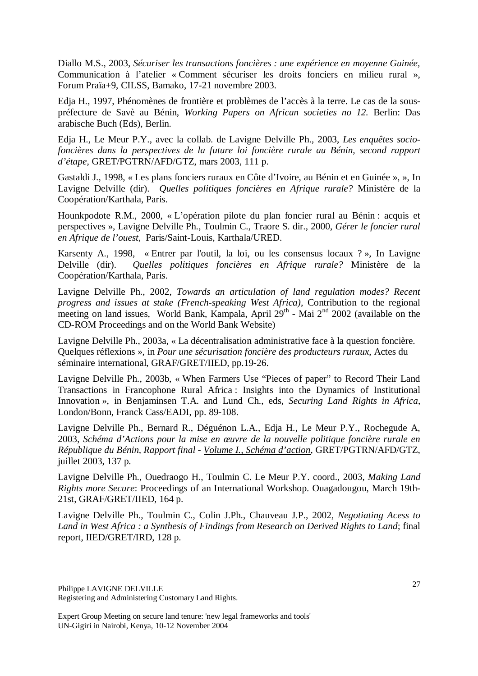Diallo M.S., 2003, *Sécuriser les transactions foncières : une expérience en moyenne Guinée,* Communication à l'atelier « Comment sécuriser les droits fonciers en milieu rural », Forum Praïa+9, CILSS, Bamako, 17-21 novembre 2003.

Edja H., 1997, Phénomènes de frontière et problèmes de l'accès à la terre. Le cas de la souspréfecture de Savè au Bénin, *Working Papers on African societies no 12.* Berlin: Das arabische Buch (Eds), Berlin.

Edja H., Le Meur P.Y., avec la collab. de Lavigne Delville Ph., 2003, *Les enquêtes sociofoncières dans la perspectives de la future loi foncière rurale au Bénin, second rapport d'étape,* GRET/PGTRN/AFD/GTZ, mars 2003, 111 p.

Gastaldi J., 1998, « Les plans fonciers ruraux en Côte d'Ivoire, au Bénin et en Guinée », », In Lavigne Delville (dir). *Quelles politiques foncières en Afrique rurale?* Ministère de la Coopération/Karthala, Paris.

Hounkpodote R.M., 2000, « L'opération pilote du plan foncier rural au Bénin : acquis et perspectives », Lavigne Delville Ph., Toulmin C., Traore S. dir., 2000, *Gérer le foncier rural en Afrique de l'ouest*, Paris/Saint-Louis, Karthala/URED.

Karsenty A., 1998, « Entrer par l'outil, la loi, ou les consensus locaux ? », In Lavigne Delville (dir). *Quelles politiques foncières en Afrique rurale?* Ministère de la Coopération/Karthala, Paris.

Lavigne Delville Ph., 2002, *Towards an articulation of land regulation modes? Recent progress and issues at stake (French-speaking West Africa),* Contribution to the regional meeting on land issues, World Bank, Kampala, April  $29<sup>th</sup>$  - Mai  $2<sup>nd</sup>$  2002 (available on the CD-ROM Proceedings and on the World Bank Website)

Lavigne Delville Ph., 2003a, « La décentralisation administrative face à la question foncière. Quelques réflexions », in *Pour une sécurisation foncière des producteurs ruraux*, Actes du séminaire international, GRAF/GRET/IIED, pp.19-26.

Lavigne Delville Ph., 2003b, « When Farmers Use "Pieces of paper" to Record Their Land Transactions in Francophone Rural Africa : Insights into the Dynamics of Institutional Innovation », in Benjaminsen T.A. and Lund Ch., eds, *Securing Land Rights in Africa*, London/Bonn, Franck Cass/EADI, pp. 89-108.

Lavigne Delville Ph., Bernard R., Déguénon L.A., Edja H., Le Meur P.Y., Rochegude A, 2003, *Schéma d'Actions pour la mise en œuvre de la nouvelle politique foncière rurale en République du Bénin, Rapport final - Volume I., Schéma d'action*, GRET/PGTRN/AFD/GTZ, juillet 2003, 137 p.

Lavigne Delville Ph., Ouedraogo H., Toulmin C. Le Meur P.Y. coord., 2003, *Making Land Rights more Secure*: Proceedings of an International Workshop. Ouagadougou, March 19th-21st, GRAF/GRET/IIED, 164 p.

Lavigne Delville Ph., Toulmin C., Colin J.Ph., Chauveau J.P., 2002*, Negotiating Acess to Land in West Africa : a Synthesis of Findings from Research on Derived Rights to Land*; final report, IIED/GRET/IRD, 128 p.

Philippe LAVIGNE DELVILLE Registering and Administering Customary Land Rights.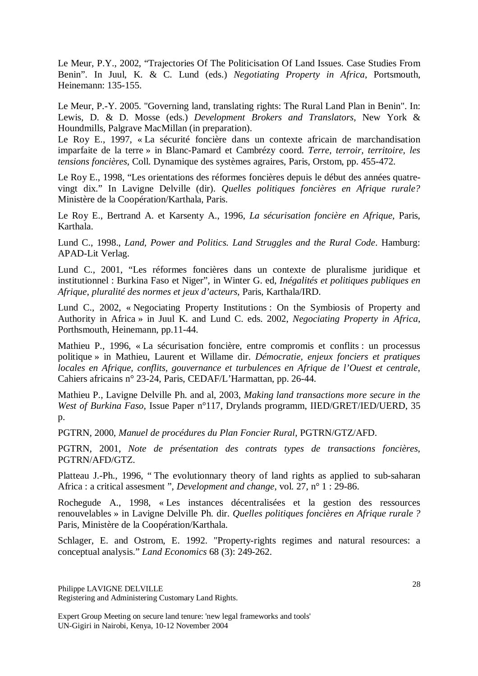Le Meur, P.Y., 2002, "Trajectories Of The Politicisation Of Land Issues. Case Studies From Benin". In Juul, K. & C. Lund (eds.) *Negotiating Property in Africa*, Portsmouth, Heinemann: 135-155.

Le Meur, P.-Y. 2005. "Governing land, translating rights: The Rural Land Plan in Benin". In: Lewis, D. & D. Mosse (eds.) *Development Brokers and Translators*, New York & Houndmills, Palgrave MacMillan (in preparation).

Le Roy E., 1997, « La sécurité foncière dans un contexte africain de marchandisation imparfaite de la terre » in Blanc-Pamard et Cambrézy coord. *Terre, terroir, territoire, les tensions foncières*, Coll. Dynamique des systèmes agraires, Paris, Orstom, pp. 455-472.

Le Roy E., 1998, "Les orientations des réformes foncières depuis le début des années quatrevingt dix." In Lavigne Delville (dir). *Quelles politiques foncières en Afrique rurale?*  Ministère de la Coopération/Karthala, Paris.

Le Roy E., Bertrand A. et Karsenty A., 1996, *La sécurisation foncière en Afrique*, Paris, Karthala.

Lund C., 1998., *Land, Power and Politics. Land Struggles and the Rural Code*. Hamburg: APAD-Lit Verlag.

Lund C., 2001, "Les réformes foncières dans un contexte de pluralisme juridique et institutionnel : Burkina Faso et Niger", in Winter G. ed, *Inégalités et politiques publiques en Afrique, pluralité des normes et jeux d'acteurs*, Paris, Karthala/IRD.

Lund C., 2002, « Negociating Property Institutions : On the Symbiosis of Property and Authority in Africa » in Juul K. and Lund C. eds. 2002, *Negociating Property in Africa*, Porthsmouth, Heinemann, pp.11-44.

Mathieu P., 1996, « La sécurisation foncière, entre compromis et conflits : un processus politique » in Mathieu, Laurent et Willame dir. *Démocratie, enjeux fonciers et pratiques locales en Afrique, conflits, gouvernance et turbulences en Afrique de l'Ouest et centrale*, Cahiers africains n° 23-24, Paris, CEDAF/L'Harmattan, pp. 26-44.

Mathieu P., Lavigne Delville Ph. and al, 2003, *Making land transactions more secure in the West of Burkina Faso*, Issue Paper n°117, Drylands programm, IIED/GRET/IED/UERD, 35 p.

PGTRN, 2000, *Manuel de procédures du Plan Foncier Rural*, PGTRN/GTZ/AFD.

PGTRN, 2001, *Note de présentation des contrats types de transactions foncières*, PGTRN/AFD/GTZ.

Platteau J.-Ph., 1996, " The evolutionnary theory of land rights as applied to sub-saharan Africa : a critical assesment ", *Development and change*, vol. 27, n° 1 : 29-86.

Rochegude A., 1998, « Les instances décentralisées et la gestion des ressources renouvelables » in Lavigne Delville Ph. dir. *Quelles politiques foncières en Afrique rurale ?*  Paris, Ministère de la Coopération/Karthala.

Schlager, E. and Ostrom, E. 1992. "Property-rights regimes and natural resources: a conceptual analysis." *Land Economics* 68 (3): 249-262.

Philippe LAVIGNE DELVILLE Registering and Administering Customary Land Rights.